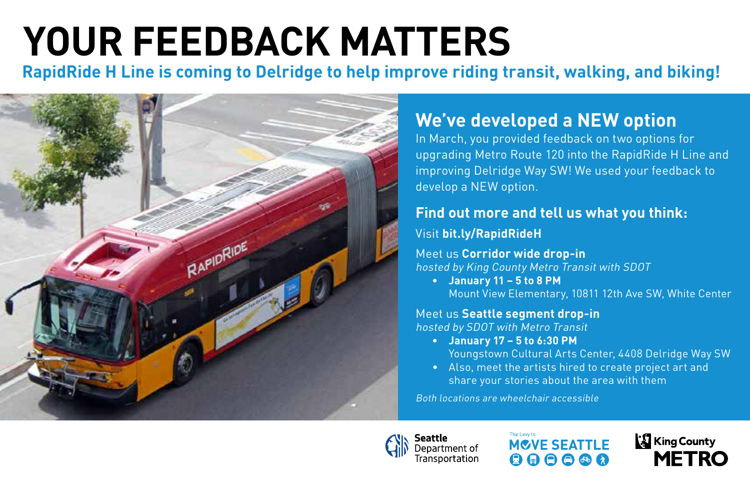# **YOUR FEEDBACK MATTERS**

**RapidRide H Line is coming to Delridge to help improve riding transit, walking, and biking!**



## **We've developed a NEW option**

In March, you provided feedback on two options for upgrading Metro Route 120 into the RapidRide H Line and improving Delridge Way SW! We used your feedback to develop a NEW option.

### **Find out more and tell us what you think:**

#### Visit **bit.ly/RapidRideH**

Meet us **Corridor wide drop-in**  hosted by King County Metro Transit with SDOT

**• January 11 – 5 to 8 PM** Mount View Elementary, 10811 12th Ave SW, White Center

## Meet us **Seattle segment drop-in**

hosted by SDOT with Metro Transit

- **• January 17 5 to 6:30 PM**
	- Youngstown Cultural Arts Center, 4408 Delridge Way SW
- Also, meet the artists hired to create project art and share your stories about the area with them

Both locations are wheelchair accessible



The Levy to **MCVE SEATTLE**  $\mathbf{\Theta} \mathbf{\Theta} \mathbf{\Theta} \mathbf{\Theta} \mathbf{\Omega}$